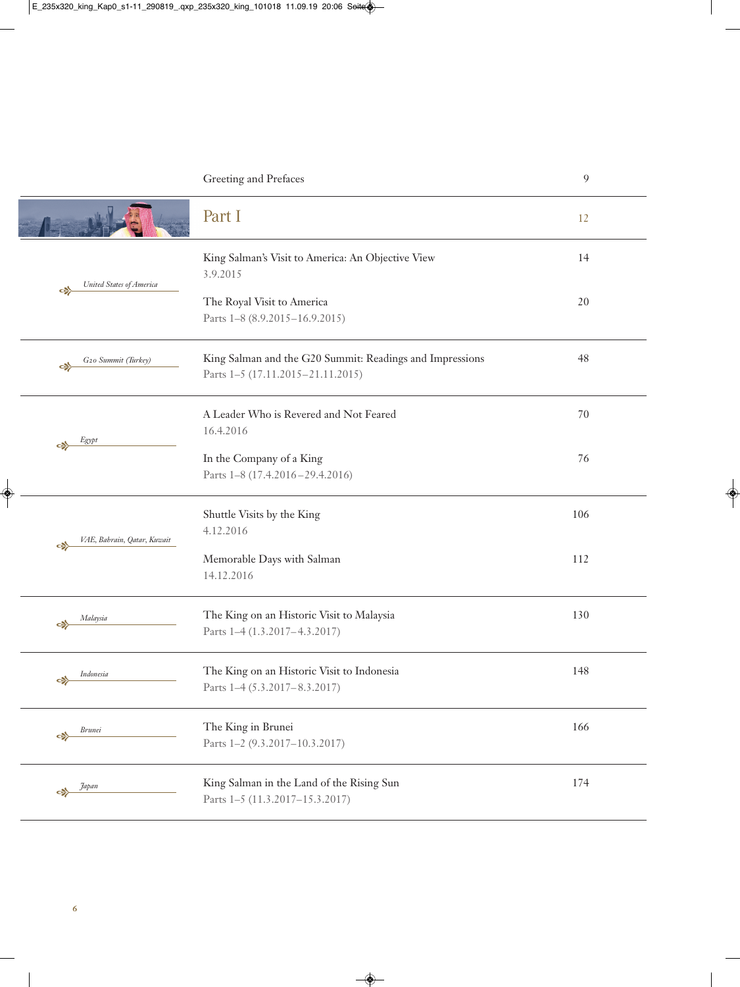|                   |                             | Greeting and Prefaces                                                                         | 9   |
|-------------------|-----------------------------|-----------------------------------------------------------------------------------------------|-----|
|                   |                             | Part I                                                                                        | 12  |
| $\Leftrightarrow$ | United States of America    | King Salman's Visit to America: An Objective View<br>3.9.2015                                 | 14  |
|                   |                             | The Royal Visit to America<br>Parts 1-8 (8.9.2015-16.9.2015)                                  | 20  |
| ⇔                 | G20 Summit (Turkey)         | King Salman and the G20 Summit: Readings and Impressions<br>Parts 1–5 (17.11.2015–21.11.2015) | 48  |
| $\Leftrightarrow$ | Egypt                       | A Leader Who is Revered and Not Feared<br>16.4.2016                                           | 70  |
|                   |                             | In the Company of a King<br>Parts 1-8 (17.4.2016-29.4.2016)                                   | 76  |
| ⇔                 | VAE, Bahrain, Qatar, Kuwait | Shuttle Visits by the King<br>4.12.2016                                                       | 106 |
|                   |                             | Memorable Days with Salman<br>14.12.2016                                                      | 112 |
| $\mathbf{c}$      | Malaysia                    | The King on an Historic Visit to Malaysia<br>Parts 1-4 (1.3.2017-4.3.2017)                    | 130 |
| c)                | Indonesia                   | The King on an Historic Visit to Indonesia<br>Parts 1-4 (5.3.2017-8.3.2017)                   | 148 |
|                   | <b>Brunei</b>               | The King in Brunei<br>Parts 1-2 (9.3.2017-10.3.2017)                                          | 166 |
|                   | Japan                       | King Salman in the Land of the Rising Sun<br>Parts 1-5 (11.3.2017-15.3.2017)                  | 174 |